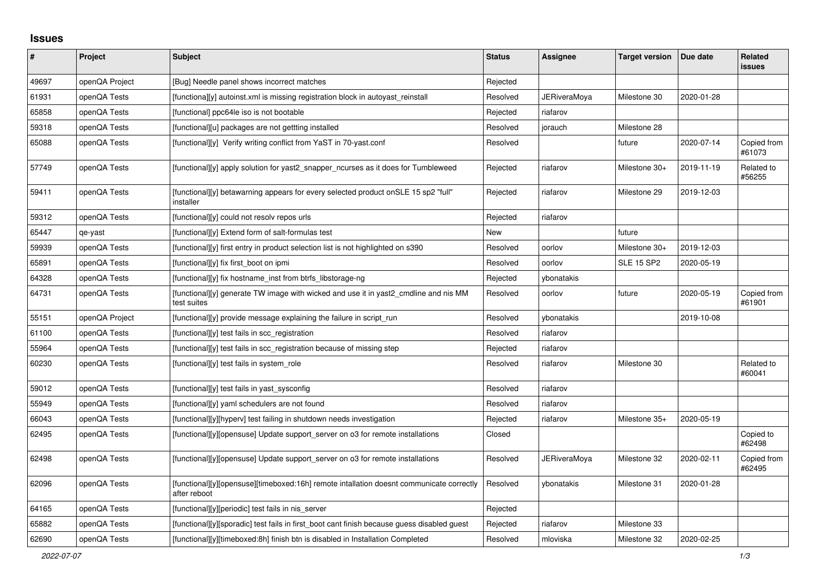## **Issues**

| #     | Project        | Subject                                                                                                  | <b>Status</b> | Assignee     | <b>Target version</b> | Due date   | Related<br><b>issues</b> |
|-------|----------------|----------------------------------------------------------------------------------------------------------|---------------|--------------|-----------------------|------------|--------------------------|
| 49697 | openQA Project | [Bug] Needle panel shows incorrect matches                                                               | Rejected      |              |                       |            |                          |
| 61931 | openQA Tests   | [functiona][y] autoinst.xml is missing registration block in autoyast reinstall                          | Resolved      | JERiveraMoya | Milestone 30          | 2020-01-28 |                          |
| 65858 | openQA Tests   | [functional] ppc64le iso is not bootable                                                                 | Rejected      | riafarov     |                       |            |                          |
| 59318 | openQA Tests   | [functional][u] packages are not gettting installed                                                      | Resolved      | jorauch      | Milestone 28          |            |                          |
| 65088 | openQA Tests   | [functional][y] Verify writing conflict from YaST in 70-yast.conf                                        | Resolved      |              | future                | 2020-07-14 | Copied from<br>#61073    |
| 57749 | openQA Tests   | [functional][y] apply solution for yast2 snapper ncurses as it does for Tumbleweed                       | Rejected      | riafarov     | Milestone 30+         | 2019-11-19 | Related to<br>#56255     |
| 59411 | openQA Tests   | [functional][y] betawarning appears for every selected product on SLE 15 sp2 "full"<br>installer         | Rejected      | riafarov     | Milestone 29          | 2019-12-03 |                          |
| 59312 | openQA Tests   | [functional][y] could not resolv repos urls                                                              | Rejected      | riafarov     |                       |            |                          |
| 65447 | qe-yast        | [functional][y] Extend form of salt-formulas test                                                        | New           |              | future                |            |                          |
| 59939 | openQA Tests   | [functional][y] first entry in product selection list is not highlighted on s390                         | Resolved      | oorlov       | Milestone 30+         | 2019-12-03 |                          |
| 65891 | openQA Tests   | [functional][y] fix first boot on ipmi                                                                   | Resolved      | oorlov       | <b>SLE 15 SP2</b>     | 2020-05-19 |                          |
| 64328 | openQA Tests   | [functional][y] fix hostname inst from btrfs libstorage-ng                                               | Rejected      | ybonatakis   |                       |            |                          |
| 64731 | openQA Tests   | [functional][y] generate TW image with wicked and use it in yast2 cmdline and nis MM<br>test suites      | Resolved      | oorlov       | future                | 2020-05-19 | Copied from<br>#61901    |
| 55151 | openQA Project | [functional][y] provide message explaining the failure in script run                                     | Resolved      | ybonatakis   |                       | 2019-10-08 |                          |
| 61100 | openQA Tests   | [functional][y] test fails in scc registration                                                           | Resolved      | riafarov     |                       |            |                          |
| 55964 | openQA Tests   | [functional][y] test fails in scc registration because of missing step                                   | Rejected      | riafarov     |                       |            |                          |
| 60230 | openQA Tests   | [functional][y] test fails in system role                                                                | Resolved      | riafarov     | Milestone 30          |            | Related to<br>#60041     |
| 59012 | openQA Tests   | [functional][y] test fails in yast sysconfig                                                             | Resolved      | riafarov     |                       |            |                          |
| 55949 | openQA Tests   | [functional][y] yaml schedulers are not found                                                            | Resolved      | riafarov     |                       |            |                          |
| 66043 | openQA Tests   | [functional][y][hyperv] test failing in shutdown needs investigation                                     | Rejected      | riafarov     | Milestone 35+         | 2020-05-19 |                          |
| 62495 | openQA Tests   | [functional][y][opensuse] Update support server on 03 for remote installations                           | Closed        |              |                       |            | Copied to<br>#62498      |
| 62498 | openQA Tests   | [functional][y][opensuse] Update support server on o3 for remote installations                           | Resolved      | JERiveraMoya | Milestone 32          | 2020-02-11 | Copied from<br>#62495    |
| 62096 | openQA Tests   | [functional][y][opensuse][timeboxed:16h] remote intallation doesnt communicate correctly<br>after reboot | Resolved      | ybonatakis   | Milestone 31          | 2020-01-28 |                          |
| 64165 | openQA Tests   | [functional][y][periodic] test fails in nis_server                                                       | Rejected      |              |                       |            |                          |
| 65882 | openQA Tests   | [functional][y][sporadic] test fails in first boot cant finish because guess disabled guest              | Rejected      | riafarov     | Milestone 33          |            |                          |
| 62690 | openQA Tests   | [functional][y][timeboxed:8h] finish btn is disabled in Installation Completed                           | Resolved      | mloviska     | Milestone 32          | 2020-02-25 |                          |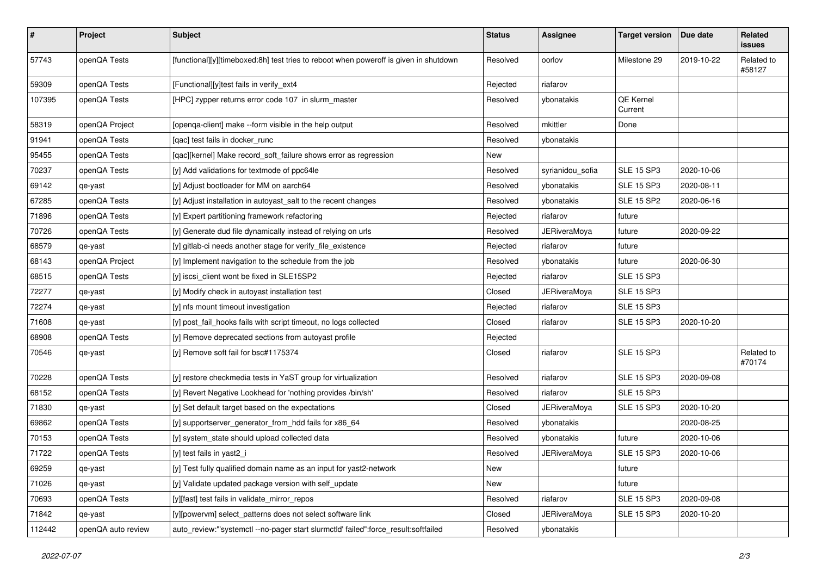| $\pmb{\#}$ | Project            | Subject                                                                               | <b>Status</b> | Assignee            | <b>Target version</b> | Due date   | Related<br>issues    |
|------------|--------------------|---------------------------------------------------------------------------------------|---------------|---------------------|-----------------------|------------|----------------------|
| 57743      | openQA Tests       | [functional][y][timeboxed:8h] test tries to reboot when poweroff is given in shutdown | Resolved      | oorlov              | Milestone 29          | 2019-10-22 | Related to<br>#58127 |
| 59309      | openQA Tests       | [Functional][y]test fails in verify_ext4                                              | Rejected      | riafarov            |                       |            |                      |
| 107395     | openQA Tests       | [HPC] zypper returns error code 107 in slurm_master                                   | Resolved      | ybonatakis          | QE Kernel<br>Current  |            |                      |
| 58319      | openQA Project     | [openqa-client] make --form visible in the help output                                | Resolved      | mkittler            | Done                  |            |                      |
| 91941      | openQA Tests       | [qac] test fails in docker_runc                                                       | Resolved      | ybonatakis          |                       |            |                      |
| 95455      | openQA Tests       | [qac][kernel] Make record_soft_failure shows error as regression                      | New           |                     |                       |            |                      |
| 70237      | openQA Tests       | [y] Add validations for textmode of ppc64le                                           | Resolved      | syrianidou_sofia    | <b>SLE 15 SP3</b>     | 2020-10-06 |                      |
| 69142      | qe-yast            | [y] Adjust bootloader for MM on aarch64                                               | Resolved      | ybonatakis          | <b>SLE 15 SP3</b>     | 2020-08-11 |                      |
| 67285      | openQA Tests       | [y] Adjust installation in autoyast_salt to the recent changes                        | Resolved      | ybonatakis          | <b>SLE 15 SP2</b>     | 2020-06-16 |                      |
| 71896      | openQA Tests       | [y] Expert partitioning framework refactoring                                         | Rejected      | riafarov            | future                |            |                      |
| 70726      | openQA Tests       | [y] Generate dud file dynamically instead of relying on urls                          | Resolved      | <b>JERiveraMoya</b> | future                | 2020-09-22 |                      |
| 68579      | qe-yast            | [y] gitlab-ci needs another stage for verify_file_existence                           | Rejected      | riafarov            | future                |            |                      |
| 68143      | openQA Project     | [y] Implement navigation to the schedule from the job                                 | Resolved      | ybonatakis          | future                | 2020-06-30 |                      |
| 68515      | openQA Tests       | [y] iscsi_client wont be fixed in SLE15SP2                                            | Rejected      | riafarov            | <b>SLE 15 SP3</b>     |            |                      |
| 72277      | qe-yast            | [y] Modify check in autoyast installation test                                        | Closed        | <b>JERiveraMoya</b> | <b>SLE 15 SP3</b>     |            |                      |
| 72274      | qe-yast            | [y] nfs mount timeout investigation                                                   | Rejected      | riafarov            | <b>SLE 15 SP3</b>     |            |                      |
| 71608      | qe-yast            | [y] post_fail_hooks fails with script timeout, no logs collected                      | Closed        | riafarov            | <b>SLE 15 SP3</b>     | 2020-10-20 |                      |
| 68908      | openQA Tests       | [y] Remove deprecated sections from autoyast profile                                  | Rejected      |                     |                       |            |                      |
| 70546      | qe-yast            | [y] Remove soft fail for bsc#1175374                                                  | Closed        | riafarov            | <b>SLE 15 SP3</b>     |            | Related to<br>#70174 |
| 70228      | openQA Tests       | [y] restore checkmedia tests in YaST group for virtualization                         | Resolved      | riafarov            | <b>SLE 15 SP3</b>     | 2020-09-08 |                      |
| 68152      | openQA Tests       | [y] Revert Negative Lookhead for 'nothing provides /bin/sh'                           | Resolved      | riafarov            | <b>SLE 15 SP3</b>     |            |                      |
| 71830      | qe-yast            | [y] Set default target based on the expectations                                      | Closed        | JERiveraMoya        | <b>SLE 15 SP3</b>     | 2020-10-20 |                      |
| 69862      | openQA Tests       | [y] supportserver_generator_from_hdd fails for x86_64                                 | Resolved      | ybonatakis          |                       | 2020-08-25 |                      |
| 70153      | openQA Tests       | [y] system_state should upload collected data                                         | Resolved      | ybonatakis          | future                | 2020-10-06 |                      |
| 71722      | openQA Tests       | [y] test fails in yast2_i                                                             | Resolved      | JERiveraMoya        | <b>SLE 15 SP3</b>     | 2020-10-06 |                      |
| 69259      | qe-yast            | [y] Test fully qualified domain name as an input for yast2-network                    | New           |                     | future                |            |                      |
| 71026      | qe-yast            | [y] Validate updated package version with self update                                 | New           |                     | future                |            |                      |
| 70693      | openQA Tests       | [y][fast] test fails in validate_mirror_repos                                         | Resolved      | riafarov            | <b>SLE 15 SP3</b>     | 2020-09-08 |                      |
| 71842      | qe-yast            | [y][powervm] select patterns does not select software link                            | Closed        | JERiveraMoya        | SLE 15 SP3            | 2020-10-20 |                      |
| 112442     | openQA auto review | auto_review:"'systemctl --no-pager start slurmctld' failed":force_result:softfailed   | Resolved      | ybonatakis          |                       |            |                      |